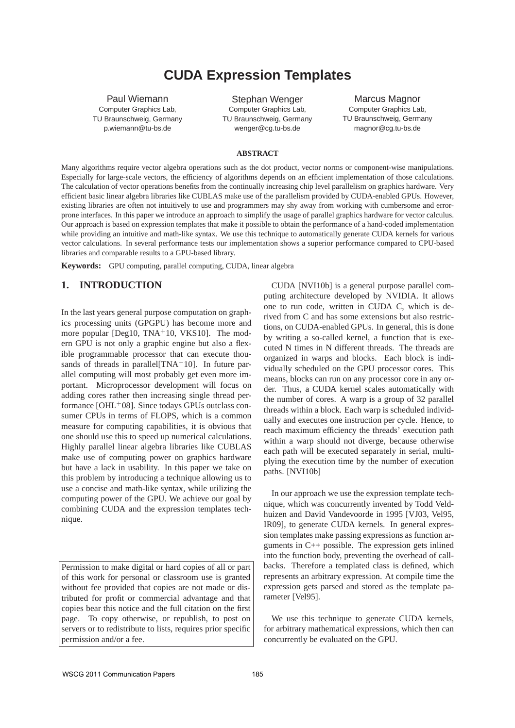# **CUDA Expression Templates**

Paul Wiemann Computer Graphics Lab, TU Braunschweig, Germany p.wiemann@tu-bs.de

Stephan Wenger Computer Graphics Lab, TU Braunschweig, Germany wenger@cg.tu-bs.de

Marcus Magnor Computer Graphics Lab, TU Braunschweig, Germany magnor@cg.tu-bs.de

#### **ABSTRACT**

Many algorithms require vector algebra operations such as the dot product, vector norms or component-wise manipulations. Especially for large-scale vectors, the efficiency of algorithms depends on an efficient implementation of those calculations. The calculation of vector operations benefits from the continually increasing chip level parallelism on graphics hardware. Very efficient basic linear algebra libraries like CUBLAS make use of the parallelism provided by CUDA-enabled GPUs. However, existing libraries are often not intuitively to use and programmers may shy away from working with cumbersome and errorprone interfaces. In this paper we introduce an approach to simplify the usage of parallel graphics hardware for vector calculus. Our approach is based on expression templates that make it possible to obtain the performance of a hand-coded implementation while providing an intuitive and math-like syntax. We use this technique to automatically generate CUDA kernels for various vector calculations. In several performance tests our implementation shows a superior performance compared to CPU-based libraries and comparable results to a GPU-based library.

**Keywords:** GPU computing, parallel computing, CUDA, linear algebra

### **1. INTRODUCTION**

In the last years general purpose computation on graphics processing units (GPGPU) has become more and more popular [Deg10,  $TNA+10$ , VKS10]. The modern GPU is not only a graphic engine but also a flexible programmable processor that can execute thousands of threads in parallel  $[TNA+10]$ . In future parallel computing will most probably get even more important. Microprocessor development will focus on adding cores rather then increasing single thread performance  $[OHL<sup>+</sup>08]$ . Since todays GPUs outclass consumer CPUs in terms of FLOPS, which is a common measure for computing capabilities, it is obvious that one should use this to speed up numerical calculations. Highly parallel linear algebra libraries like CUBLAS make use of computing power on graphics hardware but have a lack in usability. In this paper we take on this problem by introducing a technique allowing us to use a concise and math-like syntax, while utilizing the computing power of the GPU. We achieve our goal by combining CUDA and the expression templates technique.

Permission to make digital or hard copies of all or part of this work for personal or classroom use is granted without fee provided that copies are not made or distributed for profit or commercial advantage and that copies bear this notice and the full citation on the first page. To copy otherwise, or republish, to post on servers or to redistribute to lists, requires prior specific permission and/or a fee.

CUDA [NVI10b] is a general purpose parallel computing architecture developed by NVIDIA. It allows one to run code, written in CUDA C, which is derived from C and has some extensions but also restrictions, on CUDA-enabled GPUs. In general, this is done by writing a so-called kernel, a function that is executed N times in N different threads. The threads are organized in warps and blocks. Each block is individually scheduled on the GPU processor cores. This means, blocks can run on any processor core in any order. Thus, a CUDA kernel scales automatically with the number of cores. A warp is a group of 32 parallel threads within a block. Each warp is scheduled individually and executes one instruction per cycle. Hence, to reach maximum efficiency the threads' execution path within a warp should not diverge, because otherwise each path will be executed separately in serial, multiplying the execution time by the number of execution paths. [NVI10b]

In our approach we use the expression template technique, which was concurrently invented by Todd Veldhuizen and David Vandevoorde in 1995 [VJ03, Vel95, IR09], to generate CUDA kernels. In general expression templates make passing expressions as function arguments in C++ possible. The expression gets inlined into the function body, preventing the overhead of callbacks. Therefore a templated class is defined, which represents an arbitrary expression. At compile time the expression gets parsed and stored as the template parameter [Vel95].

We use this technique to generate CUDA kernels, for arbitrary mathematical expressions, which then can concurrently be evaluated on the GPU.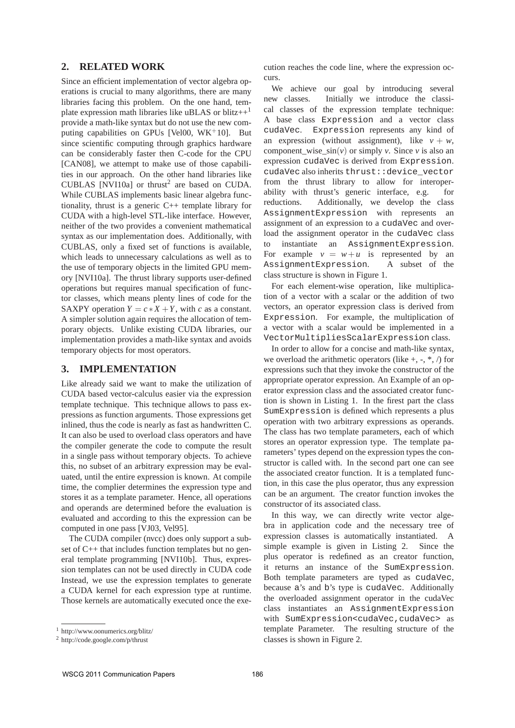## **2. RELATED WORK**

Since an efficient implementation of vector algebra operations is crucial to many algorithms, there are many libraries facing this problem. On the one hand, template expression math libraries like uBLAS or blitz $++<sup>1</sup>$ provide a math-like syntax but do not use the new computing capabilities on GPUs [Vel00,  $WK+10$ ]. But since scientific computing through graphics hardware can be considerably faster then C-code for the CPU [CAN08], we attempt to make use of those capabilities in our approach. On the other hand libraries like CUBLAS [NVI10a] or thrust<sup>2</sup> are based on CUDA. While CUBLAS implements basic linear algebra functionality, thrust is a generic C++ template library for CUDA with a high-level STL-like interface. However, neither of the two provides a convenient mathematical syntax as our implementation does. Additionally, with CUBLAS, only a fixed set of functions is available, which leads to unnecessary calculations as well as to the use of temporary objects in the limited GPU memory [NVI10a]. The thrust library supports user-defined operations but requires manual specification of functor classes, which means plenty lines of code for the SAXPY operation  $Y = c \times X + Y$ , with *c* as a constant. A simpler solution again requires the allocation of temporary objects. Unlike existing CUDA libraries, our implementation provides a math-like syntax and avoids temporary objects for most operators.

### **3. IMPLEMENTATION**

Like already said we want to make the utilization of CUDA based vector-calculus easier via the expression template technique. This technique allows to pass expressions as function arguments. Those expressions get inlined, thus the code is nearly as fast as handwritten C. It can also be used to overload class operators and have the compiler generate the code to compute the result in a single pass without temporary objects. To achieve this, no subset of an arbitrary expression may be evaluated, until the entire expression is known. At compile time, the complier determines the expression type and stores it as a template parameter. Hence, all operations and operands are determined before the evaluation is evaluated and according to this the expression can be computed in one pass [VJ03, Vel95].

The CUDA compiler (nvcc) does only support a subset of C++ that includes function templates but no general template programming [NVI10b]. Thus, expression templates can not be used directly in CUDA code Instead, we use the expression templates to generate a CUDA kernel for each expression type at runtime. Those kernels are automatically executed once the execution reaches the code line, where the expression occurs.

We achieve our goal by introducing several new classes. Initially we introduce the classical classes of the expression template technique: A base class Expression and a vector class cudaVec. Expression represents any kind of an expression (without assignment), like  $v + w$ , component wise  $sin(v)$  or simply *v*. Since *v* is also an expression cudaVec is derived from Expression. cudaVec also inherits thrust::device\_vector from the thrust library to allow for interoperability with thrust's generic interface, e.g. for reductions. Additionally, we develop the class AssignmentExpression with represents an assignment of an expression to a cudaVec and overload the assignment operator in the cudaVec class to instantiate an AssignmentExpression. For example  $v = w + u$  is represented by an AssignmentExpression. A subset of the class structure is shown in Figure 1.

For each element-wise operation, like multiplication of a vector with a scalar or the addition of two vectors, an operator expression class is derived from Expression. For example, the multiplication of a vector with a scalar would be implemented in a VectorMultipliesScalarExpression class.

In order to allow for a concise and math-like syntax, we overload the arithmetic operators (like  $+$ ,  $-$ ,  $*$ ,  $\land$ ) for expressions such that they invoke the constructor of the appropriate operator expression. An Example of an operator expression class and the associated creator function is shown in Listing 1. In the firest part the class SumExpression is defined which represents a plus operation with two arbitrary expressions as operands. The class has two template parameters, each of which stores an operator expression type. The template parameters' types depend on the expression types the constructor is called with. In the second part one can see the associated creator function. It is a templated function, in this case the plus operator, thus any expression can be an argument. The creator function invokes the constructor of its associated class.

In this way, we can directly write vector algebra in application code and the necessary tree of expression classes is automatically instantiated. A simple example is given in Listing 2. Since the plus operator is redefined as an creator function, it returns an instance of the SumExpression. Both template parameters are typed as cudaVec, because a's and b's type is cudaVec. Additionally the overloaded assignment operator in the cudaVec class instantiates an AssignmentExpression with SumExpression<cudaVec, cudaVec> as template Parameter. The resulting structure of the classes is shown in Figure 2.

<sup>1</sup> http://www.oonumerics.org/blitz/

<sup>2</sup> http://code.google.com/p/thrust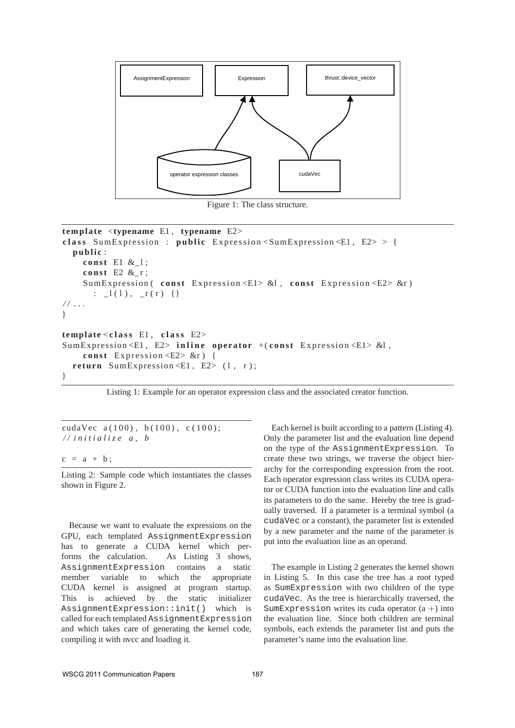

Figure 1: The class structure.

```
template <typename E1 , typename E2>
class SumExpression : public Expression <SumExpression <E1, E2> > {
  public:
    const E1 &_1;
    const E2 &_r;
    SumExpression ( const Expression <E1> &l, const Expression <E2> &r)
       : \lfloor (1) , \lfloor r(r) \rfloor \rfloor/ / . . .
}
template < c l a s s E1 , c l a s s E2>
SumExpression <E1, E2> inline operator +(const Expression <E1> &l,
    const Expression < E2 > \&r) {
  return SumExpression \leqE1, E2> (1, r);
```

```
}
```
Listing 1: Example for an operator expression class and the associated creator function.

cudaVec  $a(100)$ ,  $b(100)$ ,  $c(100)$ ; */ / i n i t i a l i z e a , b*

 $c = a + b;$ 

Listing 2: Sample code which instantiates the classes shown in Figure 2.

Because we want to evaluate the expressions on the GPU, each templated AssignmentExpression has to generate a CUDA kernel which performs the calculation. As Listing 3 shows, AssignmentExpression contains a static member variable to which the appropriate CUDA kernel is assigned at program startup. This is achieved by the static initializer AssignmentExpression::init() which is called for each templated AssignmentExpression and which takes care of generating the kernel code, compiling it with nvcc and loading it.

Each kernel is built according to a pattern (Listing 4). Only the parameter list and the evaluation line depend on the type of the AssignmentExpression. To create these two strings, we traverse the object hierarchy for the corresponding expression from the root. Each operator expression class writes its CUDA operator or CUDA function into the evaluation line and calls its parameters to do the same. Hereby the tree is gradually traversed. If a parameter is a terminal symbol (a cudaVec or a constant), the parameter list is extended by a new parameter and the name of the parameter is put into the evaluation line as an operand.

The example in Listing 2 generates the kernel shown in Listing 5. In this case the tree has a root typed as SumExpression with two children of the type cudaVec. As the tree is hierarchically traversed, the SumExpression writes its cuda operator  $(a +)$  into the evaluation line. Since both children are terminal symbols, each extends the parameter list and puts the parameter's name into the evaluation line.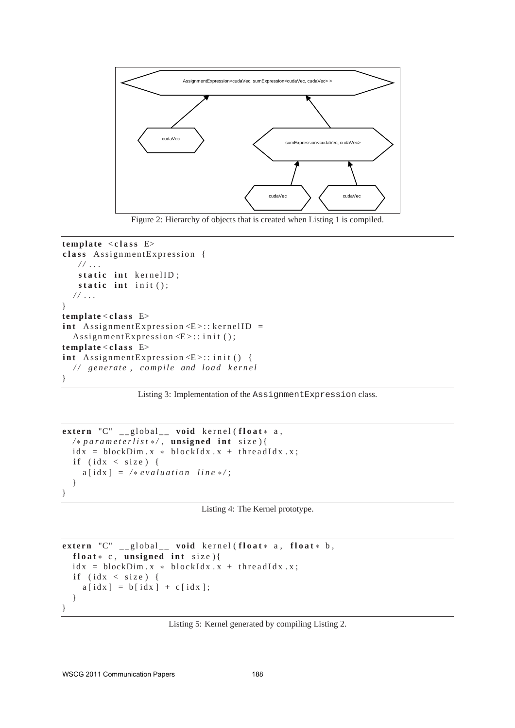

Figure 2: Hierarchy of objects that is created when Listing 1 is compiled.

```
template < c l a s s E>
class Assignment Expression {
   / / . . .
   static int kernelID;
   static int init();
  / / . . .
}
template < c l a s s E>
int Assignment Expression \leq E :: kernel ID =
  Assignment Expression \leq E >:: init ();
template < c l a s s E>
int Assignment Expression \langle E \rangle: : init () {
  // generate, compile and load kernel
}
```
Listing 3: Implementation of the AssignmentExpression class.

```
extern "C" __global__ void kernel (float* a,
  / ∗ p a r a m e t e r l i s t ∗ / , unsigned i n t s i z e ) {
  idx = blockDim.x * blockIdx.x + threadIdx.x;if (idx < size) {
    a \mid idx \mid = /* evaluation line */;
  }
}
```

```
Listing 4: The Kernel prototype.
```

```
e x t e r n "C" _ _ g l o b a l _ _ void k e r n e l ( f l o a t ∗ a , f l o a t ∗ b ,
  float* c, unsigned int size){
  idx = blockDim.x * blockIdx.x + threadIdx.x;if (idx < size) {
    a [idx] = b [idx] + c [idx];}
}
```
Listing 5: Kernel generated by compiling Listing 2.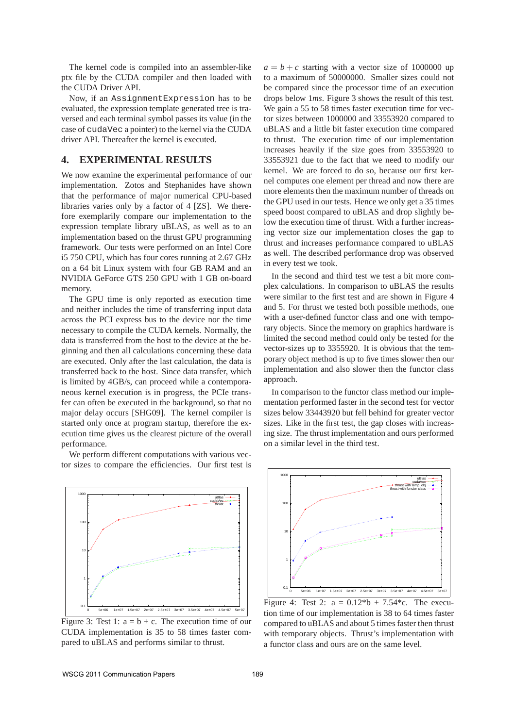The kernel code is compiled into an assembler-like ptx file by the CUDA compiler and then loaded with the CUDA Driver API.

Now, if an AssignmentExpression has to be evaluated, the expression template generated tree is traversed and each terminal symbol passes its value (in the case of cudaVec a pointer) to the kernel via the CUDA driver API. Thereafter the kernel is executed.

#### **4. EXPERIMENTAL RESULTS**

We now examine the experimental performance of our implementation. Zotos and Stephanides have shown that the performance of major numerical CPU-based libraries varies only by a factor of 4 [ZS]. We therefore exemplarily compare our implementation to the expression template library uBLAS, as well as to an implementation based on the thrust GPU programming framework. Our tests were performed on an Intel Core i5 750 CPU, which has four cores running at 2.67 GHz on a 64 bit Linux system with four GB RAM and an NVIDIA GeForce GTS 250 GPU with 1 GB on-board memory.

The GPU time is only reported as execution time and neither includes the time of transferring input data across the PCI express bus to the device nor the time necessary to compile the CUDA kernels. Normally, the data is transferred from the host to the device at the beginning and then all calculations concerning these data are executed. Only after the last calculation, the data is transferred back to the host. Since data transfer, which is limited by 4GB/s, can proceed while a contemporaneous kernel execution is in progress, the PCIe transfer can often be executed in the background, so that no major delay occurs [SHG09]. The kernel compiler is started only once at program startup, therefore the execution time gives us the clearest picture of the overall performance.

We perform different computations with various vector sizes to compare the efficiencies. Our first test is



Figure 3: Test 1:  $a = b + c$ . The execution time of our CUDA implementation is 35 to 58 times faster compared to uBLAS and performs similar to thrust.

 $a = b + c$  starting with a vector size of 1000000 up to a maximum of 50000000. Smaller sizes could not be compared since the processor time of an execution drops below 1*ms*. Figure 3 shows the result of this test. We gain a 55 to 58 times faster execution time for vector sizes between 1000000 and 33553920 compared to uBLAS and a little bit faster execution time compared to thrust. The execution time of our implementation increases heavily if the size goes from 33553920 to 33553921 due to the fact that we need to modify our kernel. We are forced to do so, because our first kernel computes one element per thread and now there are more elements then the maximum number of threads on the GPU used in our tests. Hence we only get a 35 times speed boost compared to uBLAS and drop slightly below the execution time of thrust. With a further increasing vector size our implementation closes the gap to thrust and increases performance compared to uBLAS as well. The described performance drop was observed in every test we took.

In the second and third test we test a bit more complex calculations. In comparison to uBLAS the results were similar to the first test and are shown in Figure 4 and 5. For thrust we tested both possible methods, one with a user-defined functor class and one with temporary objects. Since the memory on graphics hardware is limited the second method could only be tested for the vector-sizes up to 3355920. It is obvious that the temporary object method is up to five times slower then our implementation and also slower then the functor class approach.

In comparison to the functor class method our implementation performed faster in the second test for vector sizes below 33443920 but fell behind for greater vector sizes. Like in the first test, the gap closes with increasing size. The thrust implementation and ours performed on a similar level in the third test.



Figure 4: Test 2:  $a = 0.12 * b + 7.54 * c$ . The execution time of our implementation is 38 to 64 times faster compared to uBLAS and about 5 times faster then thrust with temporary objects. Thrust's implementation with a functor class and ours are on the same level.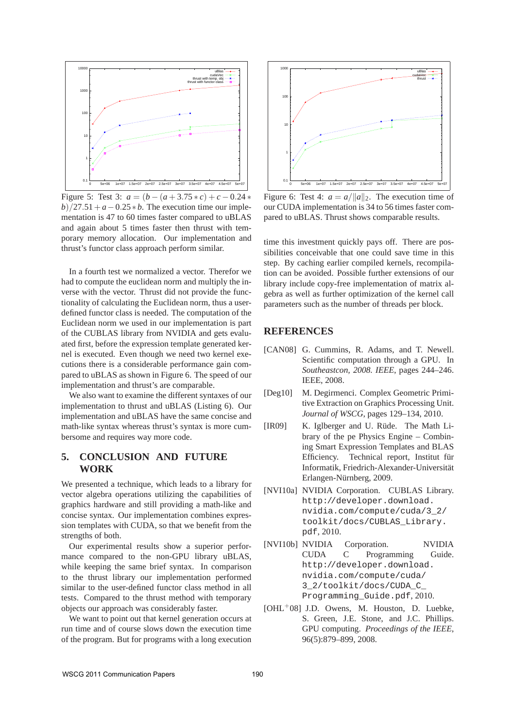

Figure 5: Test 3:  $a = (b - (a + 3.75 * c) + c - 0.24 *$  $b)/27.51+a-0.25*b$ . The execution time our implementation is 47 to 60 times faster compared to uBLAS and again about 5 times faster then thrust with temporary memory allocation. Our implementation and thrust's functor class approach perform similar.

In a fourth test we normalized a vector. Therefor we had to compute the euclidean norm and multiply the inverse with the vector. Thrust did not provide the functionality of calculating the Euclidean norm, thus a userdefined functor class is needed. The computation of the Euclidean norm we used in our implementation is part of the CUBLAS library from NVIDIA and gets evaluated first, before the expression template generated kernel is executed. Even though we need two kernel executions there is a considerable performance gain compared to uBLAS as shown in Figure 6. The speed of our implementation and thrust's are comparable.

We also want to examine the different syntaxes of our implementation to thrust and uBLAS (Listing 6). Our implementation and uBLAS have the same concise and math-like syntax whereas thrust's syntax is more cumbersome and requires way more code.

## **5. CONCLUSION AND FUTURE WORK**

We presented a technique, which leads to a library for vector algebra operations utilizing the capabilities of graphics hardware and still providing a math-like and concise syntax. Our implementation combines expression templates with CUDA, so that we benefit from the strengths of both.

Our experimental results show a superior performance compared to the non-GPU library uBLAS, while keeping the same brief syntax. In comparison to the thrust library our implementation performed similar to the user-defined functor class method in all tests. Compared to the thrust method with temporary objects our approach was considerably faster.

We want to point out that kernel generation occurs at run time and of course slows down the execution time of the program. But for programs with a long execution



Figure 6: Test 4:  $a = a/||a||_2$ . The execution time of our CUDA implementation is 34 to 56 times faster compared to uBLAS. Thrust shows comparable results.

time this investment quickly pays off. There are possibilities conceivable that one could save time in this step. By caching earlier compiled kernels, recompilation can be avoided. Possible further extensions of our library include copy-free implementation of matrix algebra as well as further optimization of the kernel call parameters such as the number of threads per block.

# **REFERENCES**

- [CAN08] G. Cummins, R. Adams, and T. Newell. Scientific computation through a GPU. In *Southeastcon, 2008. IEEE*, pages 244–246. IEEE, 2008.
- [Deg10] M. Degirmenci. Complex Geometric Primitive Extraction on Graphics Processing Unit. *Journal of WSCG*, pages 129–134, 2010.
- [IR09] K. Iglberger and U. Rüde. The Math Library of the pe Physics Engine – Combining Smart Expression Templates and BLAS Efficiency. Technical report, Institut für Informatik, Friedrich-Alexander-Universität Erlangen-Nürnberg, 2009.
- [NVI10a] NVIDIA Corporation. CUBLAS Library. http://developer.download. nvidia.com/compute/cuda/3\_2/ toolkit/docs/CUBLAS\_Library. pdf, 2010.
- [NVI10b] NVIDIA Corporation. NVIDIA CUDA C Programming Guide. http://developer.download. nvidia.com/compute/cuda/ 3\_2/toolkit/docs/CUDA\_C\_ Programming\_Guide.pdf, 2010.
- $[OHL<sup>+</sup>08]$  J.D. Owens, M. Houston, D. Luebke, S. Green, J.E. Stone, and J.C. Phillips. GPU computing. *Proceedings of the IEEE*, 96(5):879–899, 2008.